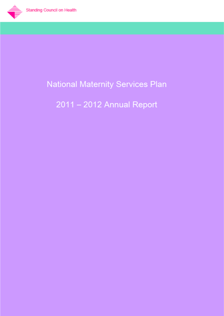

# **National Maternity Services Plan**

# 2011 - 2012 Annual Report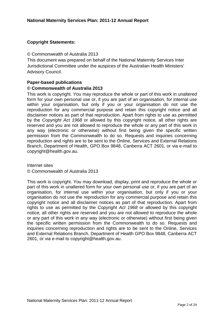## **Copyright Statements:**

#### © Commonwealth of Australia 2013

This document was prepared on behalf of the National Maternity Services Inter Jurisdictional Committee under the auspices of the Australian Health Ministers' Advisory Council.

#### **Paper-based publications**

#### **© Commonwealth of Australia 2013**

This work is copyright. You may reproduce the whole or part of this work in unaltered form for your own personal use or, if you are part of an organisation, for internal use within your organisation, but only if you or your organisation do not use the reproduction for any commercial purpose and retain this copyright notice and all disclaimer notices as part of that reproduction. Apart from rights to use as permitted by the *Copyright Act 1968* or allowed by this copyright notice*,* all other rights are reserved and you are not allowed to reproduce the whole or any part of this work in any way (electronic or otherwise) without first being given the specific written permission from the Commonwealth to do so. Requests and inquiries concerning reproduction and rights are to be sent to the Online, Services and External Relations Branch, Department of Health, GPO Box 9848, Canberra ACT 2601, or via e-mail to copyright@health.gov.au.

Internet sites © Commonwealth of Australia 2013

This work is copyright. You may download, display, print and reproduce the whole or part of this work in unaltered form for your own personal use or, if you are part of an organisation, for internal use within your organisation, but only if you or your organisation do not use the reproduction for any commercial purpose and retain this copyright notice and all disclaimer notices as part of that reproduction. Apart from rights to use as permitted by the *Copyright Act 1968* or allowed by this copyright notice*,* all other rights are reserved and you are not allowed to reproduce the whole or any part of this work in any way (electronic or otherwise) without first being given the specific written permission from the Commonwealth to do so. Requests and inquiries concerning reproduction and rights are to be sent to the Online, Services and External Relations Branch, Department of Health GPO Box 9848, Canberra ACT 2601, or via e-mail to copyright@health.gov.au.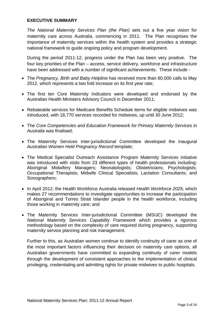## **EXECUTIVE SUMMARY**

*The National Maternity Services Plan (the Plan)* sets out a five year vision for maternity care across Australia, commencing in 2011. The Plan recognises the importance of maternity services within the health system and provides a strategic national framework to guide ongoing policy and program development.

During the period 2011-12, progress under the Plan has been very positive. The four key priorities of the Plan – access, service delivery, workforce and infrastructure have been addressed with a number of significant achievements. These include -

- The *Pregnancy, Birth and Baby Helpline* has received more than 60,000 calls to May 2012, which represents a two fold increase on its first year rate;
- The first ten Core Maternity Indicators were developed and endorsed by the Australian Health Ministers Advisory Council in December 2011;
- Rebateable services for Medicare Benefits Schedule items for eligible midwives was introduced, with 18,770 services recorded for midwives, up until 30 June 2012;
- The *Core Competencies and Education Framework for Primary Maternity Services in Australia* was finalised;
- The Maternity Services Inter-jurisdictional Committee developed the inaugural *Australian Women Held Pregnancy Record* template;
- The Medical Specialist Outreach Assistance Program Maternity Services initiative was introduced with visits from 23 different types of health professionals including: Aboriginal Midwifery Managers; Neonatologists; Obstetricians; Psychologists; Occupational Therapists; Midwife Clinical Specialists; Lactation Consultants; and Sonographers;
- In April 2012, the Health Workforce Australia released *Health Workforce 2025*, which makes 27 recommendations to investigate opportunities to increase the participation of Aboriginal and Torres Strait Islander people in the health workforce, including those working in maternity care; and
- The Maternity Services Inter-jurisdictional Committee (MSIJC) developed the *National Maternity Services Capability Framework* which provides a rigorous methodology based on the complexity of care required during pregnancy, supporting maternity service planning and risk management.

Further to this, as Australian women continue to identify continuity of carer as one of the most important factors influencing their decision on maternity care options, all Australian governments have committed to expanding continuity of carer models through the development of consistent approaches to the implementation of clinical privileging, credentialing and admitting rights for private midwives to public hospitals.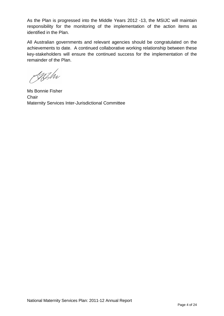As the Plan is progressed into the Middle Years 2012 -13, the MSIJC will maintain responsibility for the monitoring of the implementation of the action items as identified in the Plan.

All Australian governments and relevant agencies should be congratulated on the achievements to date. A continued collaborative working relationship between these key-stakeholders will ensure the continued success for the implementation of the remainder of the Plan.

Jahr

Ms Bonnie Fisher **Chair** Maternity Services Inter-Jurisdictional Committee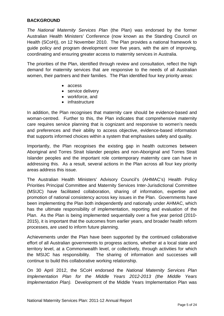# **BACKGROUND**

*The National Maternity Services Plan* (the Plan) was endorsed by the former Australian Health Ministers' Conference (now known as the Standing Council on Health (SCoH)), on 12 November 2010. The Plan provides a national framework to guide policy and program development over five years, with the aim of improving, coordinating and ensuring greater access to maternity services in Australia.

The priorities of the Plan, identified through review and consultation, reflect the high demand for maternity services that are responsive to the needs of all Australian women, their partners and their families. The Plan identified four key priority areas:

- access
- service delivery
- workforce, and
- infrastructure

In addition, the Plan recognises that maternity care should be evidence-based and woman-centred. Further to this, the Plan indicates that comprehensive maternity care requires service planning that is cognizant and responsive to women's needs and preferences and their ability to access objective, evidence-based information that supports informed choices within a system that emphasises safety and quality.

Importantly, the Plan recognises the existing gap in health outcomes between Aboriginal and Torres Strait Islander peoples and non-Aboriginal and Torres Strait Islander peoples and the important role contemporary maternity care can have in addressing this. As a result, several actions in the Plan across all four key priority areas address this issue.

The Australian Health Ministers' Advisory Council's (AHMAC's) Health Policy Priorities Principal Committee and Maternity Services Inter-Jurisdictional Committee (MSIJC) have facilitated collaboration, sharing of information, expertise and promotion of national consistency across key issues in the Plan. Governments have been implementing the Plan both independently and nationally under AHMAC, which has the ultimate responsibility of implementation, reporting and evaluation of the Plan. As the Plan is being implemented sequentially over a five year period (2010- 2015), it is important that the outcomes from earlier years, and broader health reform processes, are used to inform future planning.

Achievements under the Plan have been supported by the continued collaborative effort of all Australian governments to progress actions, whether at a local state and territory level, at a Commonwealth level, or collectively, through activities for which the MSIJC has responsibility. The sharing of information and successes will continue to build this collaborative working relationship.

On 30 April 2012, the SCoH endorsed the *National Maternity Services Plan Implementation Plan for the Middle Years 2012-2013 (the Middle Years Implementation Plan).* Development of the Middle Years Implementation Plan was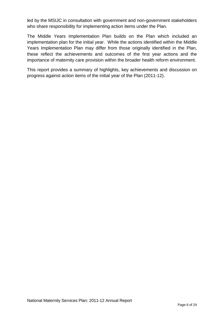led by the MSIJC in consultation with government and non-government stakeholders who share responsibility for implementing action items under the Plan.

The Middle Years Implementation Plan builds on the Plan which included an implementation plan for the initial year. While the actions identified within the Middle Years Implementation Plan may differ from those originally identified in the Plan, these reflect the achievements and outcomes of the first year actions and the importance of maternity care provision within the broader health reform environment.

This report provides a summary of highlights, key achievements and discussion on progress against action items of the initial year of the Plan (2011-12).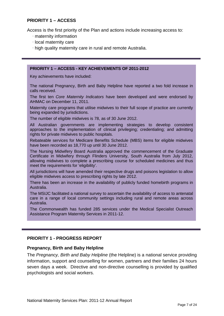# **PRIORITY 1 – ACCESS**

Access is the first priority of the Plan and actions include increasing access to:

- maternity information
- $\cdot$  local maternity care
- $\cdot$  high quality maternity care in rural and remote Australia.

## **PRIORITY 1 – ACCESS - KEY ACHIEVEMENTS OF 2011-2012**

Key achievements have included:

The national Pregnancy, Birth and Baby Helpline have reported a two fold increase in calls received.

The first ten *Core Maternity Indicators* have been developed and were endorsed by AHMAC on December 11, 2011.

Maternity care programs that utilise midwives to their full scope of practice are currently being expanded by jurisdictions.

The number of eligible midwives is 78, as of 30 June 2012.

All Australian governments are implementing strategies to develop consistent approaches to the implementation of clinical privileging; credentialing; and admitting rights for private midwives to public hospitals.

Rebateable services for Medicare Benefits Schedule (MBS) items for eligible midwives have been recorded as 18,770 up until 30 June 2012.

The Nursing Midwifery Board Australia approved the commencement of the Graduate Certificate in Midwifery through Flinders University, South Australia from July 2012, allowing midwives to complete a prescribing course for scheduled medicines and thus meet the requirements for 'eligibility'.

All jurisdictions will have amended their respective drugs and poisons legislation to allow eligible midwives access to prescribing rights by late 2012.

There has been an increase in the availability of publicly funded homebirth programs in Australia.

The MSIJC facilitated a national survey to ascertain the availability of access to antenatal care in a range of local community settings including rural and remote areas across Australia.

The Commonwealth has funded 285 services under the Medical Specialist Outreach Assistance Program Maternity Services in 2011-12.

# **PRIORITY 1 - PROGRESS REPORT**

#### **Pregnancy, Birth and Baby Helpline**

The *Pregnancy, Birth and Baby Helpline* (the Helpline) is a national service providing information, support and counselling for women, partners and their families 24 hours seven days a week. Directive and non-directive counselling is provided by qualified psychologists and social workers.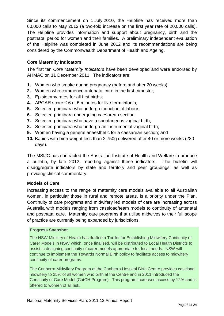Since its commencement on 1 July 2010, the Helpline has received more than 60,000 calls to May 2012 (a two-fold increase on the first year rate of 20,000 calls). The Helpline provides information and support about pregnancy, birth and the postnatal period for women and their families. A preliminary independent evaluation of the Helpline was completed in June 2012 and its recommendations are being considered by the Commonwealth Department of Health and Ageing.

# **Core Maternity Indicators**

The first ten *Core Maternity Indicators* have been developed and were endorsed by AHMAC on 11 December 2011. The indicators are:

- **1.** Women who smoke during pregnancy (before and after 20 weeks);
- **2.** Women who commence antenatal care in the first trimester;
- **3.** Episiotomy rates for all first births;
- **4.** APGAR score ≤ 6 at 5 minutes for live term infants;
- **5.** Selected primipara who undergo induction of labour;
- **6.** Selected primipara undergoing caesarean section;
- **7.** Selected primipara who have a spontaneous vaginal birth;
- **8.** Selected primipara who undergo an instrumental vaginal birth;
- **9.** Women having a general anaesthetic for a caesarean section; and
- **10.** Babies with birth weight less than 2,750g delivered after 40 or more weeks (280 days).

The MSIJC has contracted the Australian Institute of Health and Welfare to produce a bulletin, by late 2012, reporting against these indicators. The bulletin will disaggregate indicators by state and territory and peer groupings, as well as providing clinical commentary.

# **Models of Care**

Increasing access to the range of maternity care models available to all Australian women, in particular those in rural and remote areas, is a priority under the Plan. Continuity of care programs and midwifery led models of care are increasing across Australia with models ranging from caseload/team models to continuity of antenatal and postnatal care. Maternity care programs that utilise midwives to their full scope of practice are currently being expanded by jurisdictions.

## **Progress Snapshot**

The NSW Ministry of Health has drafted a Toolkit for Establishing Midwifery Continuity of Carer Models in NSW which, once finalised, will be distributed to Local Health Districts to assist in designing continuity of carer models appropriate for local needs. NSW will continue to implement the Towards Normal Birth policy to facilitate access to midwifery continuity of carer programs.

The Canberra Midwifery Program at the Canberra Hospital Birth Centre provides caseload midwifery to 25% of all women who birth at the Centre and in 2011 introduced the Continuity of Care Model (CatCH Program). This program increases access by 12% and is offered to women of all risk.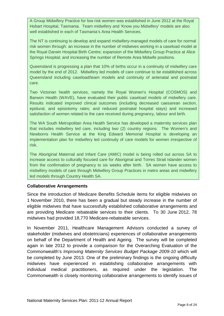A Group Midwifery Practice for low risk women was established in June 2012 at the Royal Hobart Hospital, Tasmania. Team midwifery and 'Know you Midwifery' models are also well established in each of Tasmania's Area Health Services.

The NT is continuing to develop and expand midwifery-managed models of care for normal risk women through: an increase in the number of midwives working in a caseload model at the Royal Darwin Hospital Birth Centre; expansion of the Midwifery Group Practice at Alice Springs Hospital; and increasing the number of Remote Area Midwife positions.

Queensland is progressing a plan that 10% of births occur in a continuity of midwifery care model by the end of 2012. Midwifery led models of care continue to be established across Queensland including caseload/team models and continuity of antenatal and postnatal care.

Two Victorian health services, namely the Royal Women's Hospital (COSMOS) and Barwon Health (WAVE), have evaluated their public caseload models of midwifery care. Results indicated improved clinical outcomes (including decreased caesarean section, epidural, and episiotomy rates; and reduced postnatal hospital stays) and increased satisfaction of women related to the care received during pregnancy, labour and birth.

The WA South Metropolitan Area Health Service has developed a maternity services plan that includes midwifery led care, including two (2) country regions. The Women's and Newborns Health Service at the King Edward Memorial Hospital is developing an implementation plan for midwifery led continuity of care models for women irrespective of risk.

The Aboriginal Maternal and Infant Care (AMIC) model is being rolled out across SA to increase access to culturally focused care for Aboriginal and Torres Strait Islander women from the confirmation of pregnancy to six weeks after birth. SA women have access to midwifery models of care through Midwifery Group Practices in metro areas and midwifery led models through Country Health SA.

## **Collaborative Arrangements**

Since the introduction of Medicare Benefits Schedule items for eligible midwives on 1 November 2010, there has been a gradual but steady increase in the number of eligible midwives that have successfully established collaborative arrangements and are providing Medicare rebateable services to their clients. To 30 June 2012, 78 midwives had provided 18,770 Medicare-rebateable services.

In November 2011, Healthcare Management Advisors conducted a survey of stakeholder (midwives and obstetricians) experiences of collaborative arrangements on behalf of the Department of Health and Ageing. The survey will be completed again in late 2012 to provide a comparison for the Overarching Evaluation of the Commonwealth's *Improving Maternity Services Budget Package 2009-10* which will be completed by June 2013*.* One of the preliminary findings is the ongoing difficulty midwives have experienced in establishing collaborative arrangements with individual medical practitioners, as required under the legislation. The Commonwealth is closely monitoring collaborative arrangements to identify issues of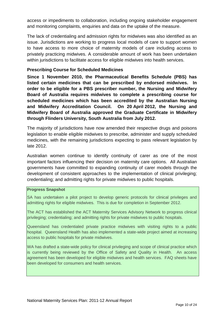access or impediments to collaboration, including ongoing stakeholder engagement and monitoring complaints, enquiries and data on the uptake of the measure.

The lack of credentialing and admission rights for midwives was also identified as an issue. Jurisdictions are working to progress local models of care to support women to have access to more choice of maternity models of care including access to privately practicing midwives. A considerable amount of work has been undertaken within jurisdictions to facilitate access for eligible midwives into health services.

## **Prescribing Course for Scheduled Medicines**

**Since 1 November 2010, the Pharmaceutical Benefits Schedule (PBS) has listed certain medicines that can be prescribed by endorsed midwives. In order to be eligible for a PBS prescriber number, the Nursing and Midwifery Board of Australia requires midwives to complete a prescribing course for scheduled medicines which has been accredited by the Australian Nursing and Midwifery Accreditation Council. On 20 April 2012, the Nursing and Midwifery Board of Australia approved the Graduate Certificate in Midwifery through Flinders University, South Australia from July 2012.** 

The majority of jurisdictions have now amended their respective drugs and poisons legislation to enable eligible midwives to prescribe, administer and supply scheduled medicines, with the remaining jurisdictions expecting to pass relevant legislation by late 2012.

Australian women continue to identify continuity of carer as one of the most important factors influencing their decision on maternity care options. All Australian governments have committed to expanding continuity of carer models through the development of consistent approaches to the implementation of clinical privileging; credentialing; and admitting rights for private midwives to public hospitals.

#### **Progress Snapshot**

SA has undertaken a pilot project to develop generic protocols for clinical privileges and admitting rights for eligible midwives. This is due for completion in September 2012.

The ACT has established the ACT Maternity Services Advisory Network to progress clinical privileging; credentialing; and admitting rights for private midwives to public hospitals.

Queensland has credentialed private practice midwives with visiting rights to a public hospital. Queensland Health has also implemented a state-wide project aimed at increasing access to public hospitals for private midwives.

WA has drafted a state-wide policy for clinical privileging and scope of clinical practice which is currently being reviewed by the Office of Safety and Quality in Health. An access agreement has been developed for eligible midwives and health services. FAQ sheets have been developed for consumers and health services.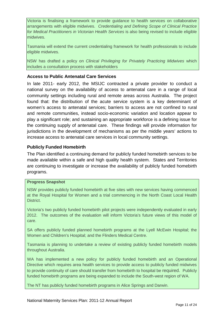Victoria is finalising a framework to provide guidance to health services on collaborative arrangements with eligible midwives. *Credentialing and Defining Scope of Clinical Practice*  for Medical Practitioners in Victorian Health Services is also being revised to include eligible midwives.

Tasmania will extend the current credentialing framework for health professionals to include eligible midwives.

NSW has drafted a policy on *Clinical Privileging for Privately Practicing Midwives* which includes a consultation process with stakeholders

# **Access to Public Antenatal Care Services**

In late 2011- early 2012, the MSIJC contracted a private provider to conduct a national survey on the availability of access to antenatal care in a range of local community settings including rural and remote areas across Australia. The project found that: the distribution of the acute service system is a key determinant of women's access to antenatal services; barriers to access are not confined to rural and remote communities, instead socio-economic variation and location appear to play a significant role; and sustaining an appropriate workforce is a defining issue for the continuing supply of antenatal care. These findings will provide information for jurisdictions in the development of mechanisms as per the middle years' actions to increase access to antenatal care services in local community settings.

# **Publicly Funded Homebirth**

The Plan identified a continuing demand for publicly funded homebirth services to be made available within a safe and high quality health system. States and Territories are continuing to investigate or increase the availability of publicly funded homebirth programs.

### **Progress Snapshot**

NSW provides publicly funded homebirth at five sites with new services having commenced at the Royal Hospital for Women and a trial commencing in the North Coast Local Health District.

Victoria's two publicly funded homebirth pilot projects were independently evaluated in early 2012. The outcomes of the evaluation will inform Victoria's future views of this model of care.

SA offers publicly funded planned homebirth programs at the Lyell McEwin Hospital; the Women and Children's Hospital; and the Flinders Medical Centre.

Tasmania is planning to undertake a review of existing publicly funded homebirth models throughout Australia.

WA has implemented a new policy for publicly funded homebirth and an Operational Directive which requires area health services to provide access to publicly funded midwives to provide continuity of care should transfer from homebirth to hospital be required. Publicly funded homebirth programs are being expanded to include the South-west region of WA.

The NT has publicly funded homebirth programs in Alice Springs and Darwin.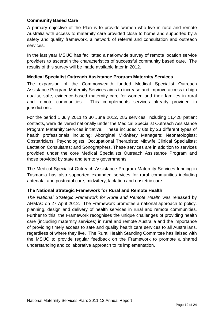# **Community Based Care**

A primary objective of the Plan is to provide women who live in rural and remote Australia with access to maternity care provided close to home and supported by a safety and quality framework, a network of referral and consultation and outreach services.

In the last year MSIJC has facilitated a nationwide survey of remote location service providers to ascertain the characteristics of successful community based care. The results of this survey will be made available later in 2012.

## **Medical Specialist Outreach Assistance Program Maternity Services**

The expansion of the Commonwealth funded Medical Specialist Outreach Assistance Program Maternity Services aims to increase and improve access to high quality, safe, evidence-based maternity care for women and their families in rural and remote communities. This complements services already provided in jurisdictions.

For the period 1 July 2011 to 30 June 2012, 285 services, including 11,428 patient contacts, were delivered nationally under the Medical Specialist Outreach Assistance Program Maternity Services initiative. These included visits by 23 different types of health professionals including: Aboriginal Midwifery Managers; Neonatologists; Obstetricians; Psychologists; Occupational Therapists; Midwife Clinical Specialists; Lactation Consultants; and Sonographers. These services are in addition to services provided under the core Medical Specialists Outreach Assistance Program and those provided by state and territory governments.

The Medical Specialist Outreach Assistance Program Maternity Services funding in Tasmania has also supported expanded services for rural communities including antenatal and postnatal care, midwifery, lactation and obstetric care.

## **The National Strategic Framework for Rural and Remote Health**

*The National Strategic Framework for Rural and Remote Health* was released by AHMAC on 27 April 2012. The Framework promotes a national approach to policy, planning, design and delivery of health services in rural and remote communities. Further to this, the Framework recognises the unique challenges of providing health care (including maternity services) in rural and remote Australia and the importance of providing timely access to safe and quality health care services to all Australians, regardless of where they live. The Rural Health Standing Committee has liaised with the MSIJC to provide regular feedback on the Framework to promote a shared understanding and collaborative approach to its implementation.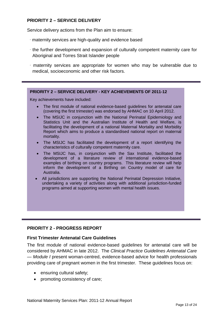# **PRIORITY 2 – SERVICE DELIVERY**

Service delivery actions from the Plan aim to ensure:

- maternity services are high-quality and evidence based
- the further development and expansion of culturally competent maternity care for Aboriginal and Torres Strait Islander people
- maternity services are appropriate for women who may be vulnerable due to medical, socioeconomic and other risk factors.

#### **PRIORITY 2 – SERVICE DELIVERY - KEY ACHIEVEMENTS OF 2011-12**

Key achievements have included:

- The first module of national evidence-based guidelines for antenatal care (covering the first trimester) was endorsed by AHMAC on 10 April 2012.
- The MSIJC in conjunction with the National Perinatal Epidemiology and Statistics Unit and the Australian Institute of Health and Welfare, is facilitating the development of a national Maternal Mortality and Morbidity Report which aims to produce a standardised national report on maternal mortality.
- The MSIJC has facilitated the development of a report identifying the characteristics of culturally competent maternity care.
- The MSIJC has, in conjunction with the Sax Institute, facilitated the development of a literature review of international evidence-based examples of birthing on country programs. This literature review will help inform the development of a Birthing on Country model of care for Australia.
- All jurisdictions are supporting the National Perinatal Depression Initiative, undertaking a variety of activities along with additional jurisdiction-funded programs aimed at supporting women with mental health issues.

## **PRIORITY 2 - PROGRESS REPORT**

#### **First Trimester Antenatal Care Guidelines**

The first module of national evidence-based guidelines for antenatal care will be considered by AHMAC in late 2012. The *Clinical Practice Guidelines Antenatal Care — Module I* present woman-centred, evidence-based advice for health professionals providing care of pregnant women in the first trimester. These guidelines focus on:

- ensuring cultural safety;
- promoting consistency of care;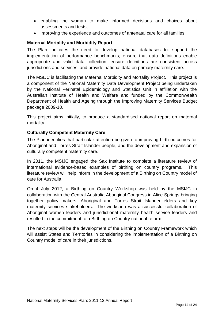- enabling the woman to make informed decisions and choices about assessments and tests;
- improving the experience and outcomes of antenatal care for all families.

# **Maternal Mortality and Morbidity Report**

The Plan indicates the need to develop national databases to: support the implementation of performance benchmarks; ensure that data definitions enable appropriate and valid data collection; ensure definitions are consistent across jurisdictions and services; and provide national data on primary maternity care.

The MSIJC is facilitating the Maternal Morbidity and Mortality Project. This project is a component of the National Maternity Data Development Project being undertaken by the National Perinatal Epidemiology and Statistics Unit in affiliation with the Australian Institute of Health and Welfare and funded by the Commonwealth Department of Health and Ageing through the Improving Maternity Services Budget package 2009-10.

This project aims initially, to produce a standardised national report on maternal mortality.

# **Culturally Competent Maternity Care**

The Plan identifies that particular attention be given to improving birth outcomes for Aboriginal and Torres Strait Islander people, and the development and expansion of culturally competent maternity care.

In 2011, the MSIJC engaged the Sax Institute to complete a literature review of international evidence-based examples of birthing on country programs. This literature review will help inform in the development of a Birthing on Country model of care for Australia.

On 4 July 2012, a Birthing on Country Workshop was held by the MSIJC in collaboration with the Central Australia Aboriginal Congress in Alice Springs bringing together policy makers, Aboriginal and Torres Strait Islander elders and key maternity services stakeholders. The workshop was a successful collaboration of Aboriginal women leaders and jurisdictional maternity health service leaders and resulted in the commitment to a Birthing on Country national reform.

The next steps will be the development of the Birthing on Country Framework which will assist States and Territories in considering the implementation of a Birthing on Country model of care in their jurisdictions.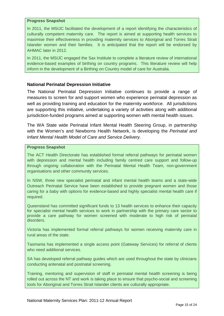#### **Progress Snapshot**

In 2011, the MSIJC facilitated the development of a report identifying the characteristics of culturally competent maternity care. The report is aimed at supporting health services to maximise their effectiveness in providing maternity services to Aboriginal and Torres Strait Islander women and their families. It is anticipated that the report will be endorsed by AHMAC later in 2012.

In 2011, the MSIJC engaged the Sax Institute to complete a literature review of international evidence-based examples of birthing on country programs. This literature review will help inform in the development of a Birthing on Country model of care for Australia.

## **National Perinatal Depression Initiative**

The National Perinatal Depression Initiative continues to provide a range of measures to screen for and support women who experience perinatal depression as well as providing training and education for the maternity workforce. All jurisdictions are supporting this initiative, undertaking a variety of activities along with additional jurisdiction-funded programs aimed at supporting women with mental health issues.

The WA State wide Perinatal Infant Mental Health Steering Group, in partnership with the Women's and Newborns Health Network, is developing the *Perinatal and Infant Mental Health Model of Care and Service Delivery*.

#### **Progress Snapshot**

The ACT Health Directorate has established formal referral pathways for perinatal women with depression and mental health including family centred care support and follow-up through ongoing collaboration with the Perinatal Mental Health Team, non-government organisations and other community services.

In NSW, three new specialist perinatal and infant mental health teams and a state-wide Outreach Perinatal Service have been established to provide pregnant women and those caring for a baby with options for evidence-based and highly specialist mental health care if required.

Queensland has committed significant funds to 13 health services to enhance their capacity for specialist mental health services to work in partnership with the primary care sector to provide a care pathway for women screened with moderate to high risk of perinatal disorders.

Victoria has implemented formal referral pathways for women receiving maternity care in rural areas of the state.

Tasmania has implemented a single access point (Gateway Services) for referral of clients who need additional services.

SA has developed referral pathway guides which are used throughout the state by clinicians conducting antenatal and postnatal screening.

Training, mentoring and supervision of staff in perinatal mental health screening is being rolled out across the NT and work is taking place to ensure that psycho-social and screening tools for Aboriginal and Torres Strait Islander clients are culturally appropriate.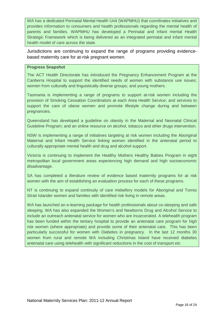WA has a dedicated Perinatal Mental Health Unit (WAPMHU) that coordinates initiatives and provides information to consumers and health professionals regarding the mental health of parents and families. WAPMHU has developed a Perinatal and Infant mental Health Strategic Framework which is being delivered as an integrated perinatal and infant mental health model of care across the state.

Jurisdictions are continuing to expand the range of programs providing evidencebased maternity care for at-risk pregnant women.

#### **Progress Snapshot**

The ACT Health Directorate has introduced the Pregnancy Enhancement Program at the Canberra Hospital to support the identified needs of women with substance use issues; women from culturally and linguistically diverse groups; and young mothers.

Tasmania is implementing a range of programs to support at-risk women including the provision of Smoking Cessation Coordinators at each Area Health Service; and services to support the care of obese women and promote lifestyle change during and between pregnancies.

Queensland has developed a guideline on obesity in the Maternal and Neonatal Clinical Guideline Program; and an online resource on alcohol, tobacco and other drugs intervention.

NSW is implementing a range of initiatives targeting at risk women including the Aboriginal Maternal and Infant Health Service linking women identified in the antenatal period to culturally appropriate mental health and drug and alcohol support.

Victoria is continuing to implement the Healthy Mothers Healthy Babies Program in eight metropolitan local government areas experiencing high demand and high socioeconomic disadvantage.

SA has completed a literature review of evidence based maternity programs for at risk women with the aim of establishing an evaluation process for each of these programs.

NT is continuing to expand continuity of care midwifery models for Aboriginal and Torres Strait Islander women and families with identified risk living in remote areas.

WA has launched an e-learning package for health professionals about co-sleeping and safe sleeping. WA has also expanded the Women's and Newborns Drug and Alcohol Service to include an outreach antenatal service for women who are incarcerated. A telehealth program has been funded within the tertiary hospital to provide an antenatal care program for high risk women (where appropriate) and provide some of their antenatal care. This has been particularly successful for women with Diabetes in pregnancy. In the last 12 months 30 women from rural and remote WA including Christmas Island have received diabetes antenatal care using telehealth with significant reductions in the cost of transport etc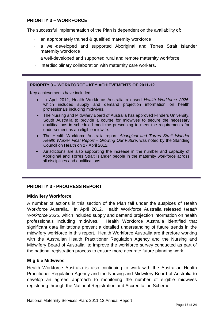# **PRIORITY 3 – WORKFORCE**

The successful implementation of the Plan is dependent on the availability of:

- an appropriately trained & qualified maternity workforce
- ⋅ a well-developed and supported Aboriginal and Torres Strait Islander maternity workforce
- $\cdot$  a well-developed and supported rural and remote maternity workforce
- ⋅ Interdisciplinary collaboration with maternity care workers.

# **PRIORITY 3 – WORKFORCE - KEY ACHIEVEMENTS OF 2011-12**

Key achievements have included:

- In April 2012, Health Workforce Australia released *Health Workforce 2025*, which included supply and demand projection information on health professionals including midwives.
- The Nursing and Midwifery Board of Australia has approved Flinders University, South Australia to provide a course for midwives to secure the necessary qualifications in scheduled medicine prescribing to meet the requirements for endorsement as an eligible midwife.
- The Health Workforce Australia report, *Aboriginal and Torres Strait Islander Health Worker Final Report – Growing Our Future*, was noted by the Standing Council on Health on 27 April 2012.
- Jurisdictions are also supporting the increase in the number and capacity of Aboriginal and Torres Strait Islander people in the maternity workforce across all disciplines and qualifications.

# **PRIORITY 3 - PROGRESS REPORT**

### **Midwifery Workforce**

A number of actions in this section of the Plan fall under the auspices of Health Workforce Australia. In April 2012, Health Workforce Australia released *Health Workforce 2025*, which included supply and demand projection information on health professionals including midwives. Health Workforce Australia identified that significant data limitations prevent a detailed understanding of future trends in the midwifery workforce in this report. Health Workforce Australia are therefore working with the Australian Health Practitioner Regulation Agency and the Nursing and Midwifery Board of Australia to improve the workforce survey conducted as part of the national registration process to ensure more accurate future planning work.

## **Eligible Midwives**

Health Workforce Australia is also continuing to work with the Australian Health Practitioner Regulation Agency and the Nursing and Midwifery Board of Australia to develop an agreed approach to monitoring the number of eligible midwives registering through the National Registration and Accreditation Scheme.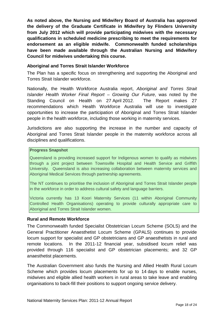**As noted above, the Nursing and Midwifery Board of Australia has approved the delivery of the Graduate Certificate in Midwifery by Flinders University from July 2012 which will provide participating midwives with the necessary qualifications in scheduled medicine prescribing to meet the requirements for endorsement as an eligible midwife. Commonwealth funded scholarships have been made available through the Australian Nursing and Midwifery Council for midwives undertaking this course.**

## **Aboriginal and Torres Strait Islander Workforce**

The Plan has a specific focus on strengthening and supporting the Aboriginal and Torres Strait Islander workforce.

Nationally, the Health Workforce Australia report, *Aboriginal and Torres Strait Islander Health Worker Final Report – Growing Our Future*, was noted by the Standing Council on Health on 27 April 2012. The Report makes 27 recommendations which Health Workforce Australia will use to investigate opportunities to increase the participation of Aboriginal and Torres Strait Islander people in the health workforce, including those working in maternity services.

Jurisdictions are also supporting the increase in the number and capacity of Aboriginal and Torres Strait Islander people in the maternity workforce across all disciplines and qualifications.

#### **Progress Snapshot**

Queensland is providing increased support for Indigenous women to qualify as midwives through a joint project between Townsville Hospital and Health Service and Griffith University. Queensland is also increasing collaboration between maternity services and Aboriginal Medical Services through partnership agreements.

The NT continues to prioritise the inclusion of Aboriginal and Torres Strait Islander people in the workforce in order to address cultural safety and language barriers.

Victoria currently has 13 Koori Maternity Services (11 within Aboriginal Community Controlled Health Organisations) operating to provide culturally appropriate care to Aboriginal and Torres Strait Islander women.

## **Rural and Remote Workforce**

The Commonwealth funded Specialist Obstetrician Locum Scheme (SOLS) and the General Practitioner Anaesthetist Locum Scheme (GPALS) continues to provide locum support for specialist and GP obstetricians and GP anaesthetists in rural and remote locations. In the 2011-12 financial year, subsidised locum relief was provided through 116 specialist and GP obstetrician placements; and 32 GP anaesthetist placements.

The Australian Government also funds the Nursing and Allied Health Rural Locum Scheme which provides locum placements for up to 14 days to enable nurses, midwives and eligible allied health workers in rural areas to take leave and enabling organisations to back-fill their positions to support ongoing service delivery.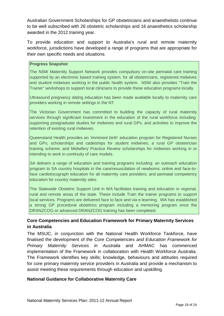Australian Government Scholarships for GP obstetricians and anaesthetists continue to be well subscribed with 26 obstetric scholarships and 16 anaesthetics scholarship awarded in the 2012 training year.

To provide education and support to Australia's rural and remote maternity workforce, jurisdictions have developed a range of programs that are appropriate for their own specific needs and situations.

## **Progress Snapshot**

The NSW Maternity Support Network provides compulsory on-site perinatal care training supported by an electronic based training system, for all obstetricians, registered midwives and student midwives working in the public health system. NSW also provides "Train the Trainer" workshops to support local clinicians to provide these education programs locally.

Ultrasound pregnancy dating education has been made available locally to maternity care providers working in remote settings in the NT.

The Victorian Government has committed to building the capacity of rural maternity services through significant investment in the education of the rural workforce including: supporting postgraduate studies for midwives and rural GPs; and activities to improve the retention of existing rural midwives.

Queensland Health provides an 'imminent birth' education program for Registered Nurses and GPs; scholarships and cadetships for student midwives; a rural GP obstetrician training scheme; and Midwifery Practice Review scholarships for midwives working in or intending to work in continuity of care models.

SA delivers a range of education and training programs including: an outreach education program to SA country hospitals in the care/resuscitation of newborns; online and face-toface cardiotocograph education for all maternity care providers; and perinatal competency education for country maternity sites.

The Statewide Obstetric Support Unit in WA facilitates training and education in regional, rural and remote areas of the state. These include Train the trainer programs to support local services. Programs are delivered face to face and via e-learning. WA has established a strong GP procedural obstetrics program including a mentoring program once the DRANZCOG or advanced DRANZCOG training has been completed.

# **Core Competencies and Education Framework for Primary Maternity Services in Australia**

The MSIJC, in conjunction with the National Health Workforce Taskforce, have finalised the development of the *Core Competencies and Education Framework for Primary Maternity Services in Australia* and AHMAC has commenced implementation of the Framework in collaboration with Health Workforce Australia. The Framework identifies key skills; knowledge, behaviours and attitudes required for core primary maternity service providers in Australia and provide a mechanism to assist meeting these requirements through education and upskilling.

# **National Guidance for Collaborative Maternity Care**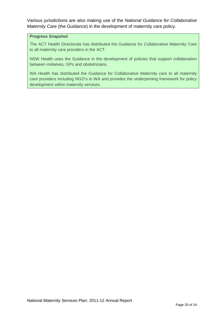Various jurisdictions are also making use of the *National Guidance for Collaborative Maternity Care* (the Guidance) in the development of maternity care policy.

## **Progress Snapshot**

The ACT Health Directorate has distributed the Guidance for Collaborative Maternity Care to all maternity care providers in the ACT.

NSW Health uses the Guidance in the development of policies that support collaboration between midwives, GPs and obstetricians.

WA Health has distributed the Guidance for Collaborative Maternity care to all maternity care providers including NGO's in WA and provides the underpinning framework for policy development within maternity services.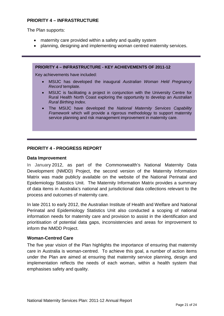# **PRIORITY 4 – INFRASTRUCTURE**

The Plan supports:

- maternity care provided within a safety and quality system
- planning, designing and implementing woman centred maternity services.



# **PRIORITY 4 - PROGRESS REPORT**

### **Data Improvement**

In January 2012, as part of the Commonwealth's National Maternity Data Development (NMDD) Project, the second version of the Maternity Information Matrix was made publicly available on the website of the National Perinatal and Epidemiology Statistics Unit. The Maternity Information Matrix provides a summary of data items in Australia's national and jurisdictional data collections relevant to the process and outcomes of maternity care.

In late 2011 to early 2012, the Australian Institute of Health and Welfare and National Perinatal and Epidemiology Statistics Unit also conducted a scoping of national information needs for maternity care and provision to assist in the identification and prioritisation of potential data gaps, inconsistencies and areas for improvement to inform the NMDD Project.

## **Woman-Centred Care**

The five year vision of the Plan highlights the importance of ensuring that maternity care in Australia is woman-centred. To achieve this goal, a number of action items under the Plan are aimed at ensuring that maternity service planning, design and implementation reflects the needs of each woman, within a health system that emphasises safety and quality.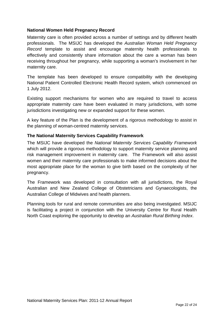## **National Women Held Pregnancy Record**

Maternity care is often provided across a number of settings and by different health professionals. The MSIJC has developed the *Australian Woman Held Pregnancy Record* template to assist and encourage maternity health professionals to effectively and consistently share information about the care a woman has been receiving throughout her pregnancy, while supporting a woman's involvement in her maternity care.

The template has been developed to ensure compatibility with the developing National Patient Controlled Electronic Health Record system, which commenced on 1 July 2012.

Existing support mechanisms for women who are required to travel to access appropriate maternity care have been evaluated in many jurisdictions, with some jurisdictions investigating new or expanded support for these women.

A key feature of the Plan is the development of a rigorous methodology to assist in the planning of woman-centred maternity services.

# **The National Maternity Services Capability Framework**

The MSIJC have developed the *National Maternity Services Capability Framework* which will provide a rigorous methodology to support maternity service planning and risk management improvement in maternity care. The Framework will also assist women and their maternity care professionals to make informed decisions about the most appropriate place for the woman to give birth based on the complexity of her pregnancy.

The Framework was developed in consultation with all jurisdictions, the Royal Australian and New Zealand College of Obstetricians and Gynaecologists, the Australian College of Midwives and health planners.

Planning tools for rural and remote communities are also being investigated. MSIJC is facilitating a project in conjunction with the University Centre for Rural Health North Coast exploring the opportunity to develop an *Australian Rural Birthing Index*.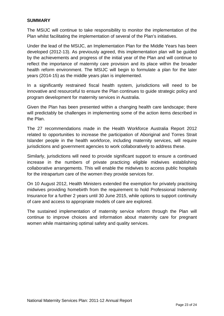# **SUMMARY**

The MSIJC will continue to take responsibility to monitor the implementation of the Plan whilst facilitating the implementation of several of the Plan's initiatives.

Under the lead of the MSIJC, an Implementation Plan for the Middle Years has been developed (2012-13). As previously agreed, this implementation plan will be guided by the achievements and progress of the initial year of the Plan and will continue to reflect the importance of maternity care provision and its place within the broader health reform environment. The MSIJC will begin to formulate a plan for the later years (2014-15) as the middle years plan is implemented.

In a significantly restrained fiscal health system, jurisdictions will need to be innovative and resourceful to ensure the Plan continues to guide strategic policy and program development for maternity services in Australia.

Given the Plan has been presented within a changing health care landscape; there will predictably be challenges in implementing some of the action items described in the Plan.

The 27 recommendations made in the Health Workforce Australia Report 2012 related to opportunities to increase the participation of Aboriginal and Torres Strait Islander people in the health workforce, including maternity services, will require jurisdictions and government agencies to work collaboratively to address these.

Similarly, jurisdictions will need to provide significant support to ensure a continued increase in the numbers of private practicing eligible midwives establishing collaborative arrangements. This will enable the midwives to access public hospitals for the intrapartum care of the women they provide services for.

On 10 August 2012, Health Ministers extended the exemption for privately practising midwives providing homebirth from the requirement to hold Professional Indemnity Insurance for a further 2 years until 30 June 2015, while options to support continuity of care and access to appropriate models of care are explored.

The sustained implementation of maternity service reform through the Plan will continue to improve choices and information about maternity care for pregnant women while maintaining optimal safety and quality services.